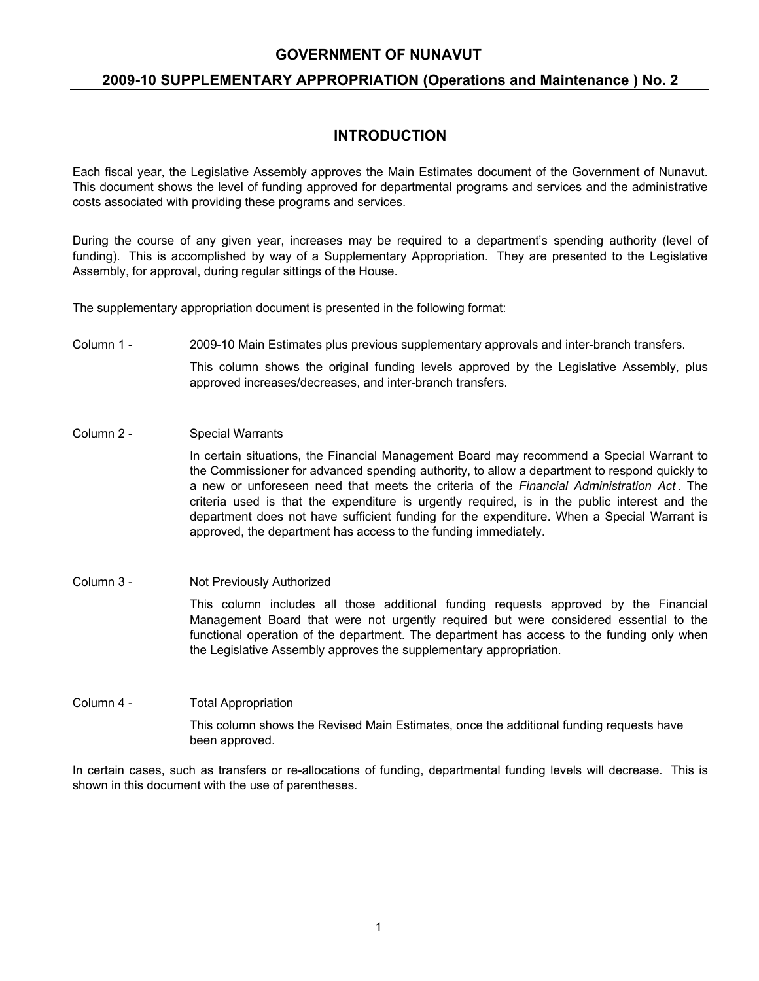# **2009-10 SUPPLEMENTARY APPROPRIATION (Operations and Maintenance ) No. 2**

# **INTRODUCTION**

Each fiscal year, the Legislative Assembly approves the Main Estimates document of the Government of Nunavut. This document shows the level of funding approved for departmental programs and services and the administrative costs associated with providing these programs and services.

During the course of any given year, increases may be required to a department's spending authority (level of funding). This is accomplished by way of a Supplementary Appropriation. They are presented to the Legislative Assembly, for approval, during regular sittings of the House.

The supplementary appropriation document is presented in the following format:

Column 1 - 2009-10 Main Estimates plus previous supplementary approvals and inter-branch transfers.

This column shows the original funding levels approved by the Legislative Assembly, plus approved increases/decreases, and inter-branch transfers.

Column 2 - Special Warrants

In certain situations, the Financial Management Board may recommend a Special Warrant to the Commissioner for advanced spending authority, to allow a department to respond quickly to a new or unforeseen need that meets the criteria of the *Financial Administration Act* . The criteria used is that the expenditure is urgently required, is in the public interest and the department does not have sufficient funding for the expenditure. When a Special Warrant is approved, the department has access to the funding immediately.

- Column 3 Not Previously Authorized This column includes all those additional funding requests approved by the Financial Management Board that were not urgently required but were considered essential to the functional operation of the department. The department has access to the funding only when the Legislative Assembly approves the supplementary appropriation.
- Column 4 Total Appropriation This column shows the Revised Main Estimates, once the additional funding requests have been approved.

In certain cases, such as transfers or re-allocations of funding, departmental funding levels will decrease. This is shown in this document with the use of parentheses.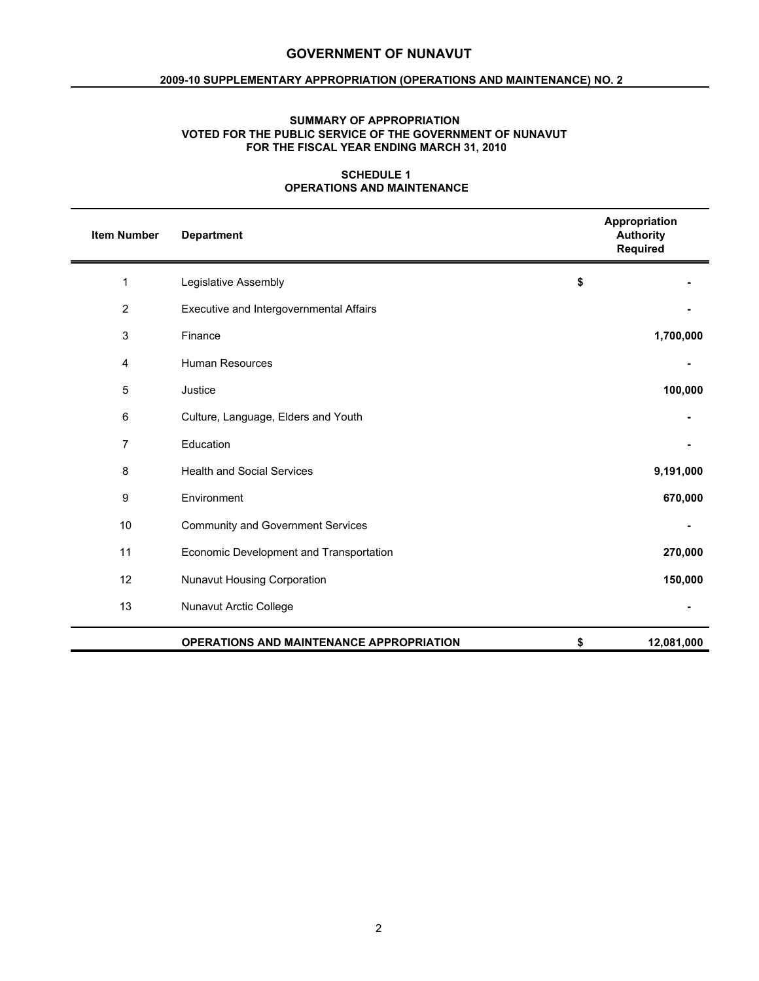## **2009-10 SUPPLEMENTARY APPROPRIATION (OPERATIONS AND MAINTENANCE) NO. 2**

## **SUMMARY OF APPROPRIATION VOTED FOR THE PUBLIC SERVICE OF THE GOVERNMENT OF NUNAVUT FOR THE FISCAL YEAR ENDING MARCH 31, 2010**

## **SCHEDULE 1 OPERATIONS AND MAINTENANCE**

| <b>Item Number</b> | <b>Department</b>                               | Appropriation<br><b>Authority</b><br>Required |
|--------------------|-------------------------------------------------|-----------------------------------------------|
| 1                  | Legislative Assembly                            | \$                                            |
| $\boldsymbol{2}$   | Executive and Intergovernmental Affairs         |                                               |
| 3                  | Finance                                         | 1,700,000                                     |
| 4                  | <b>Human Resources</b>                          |                                               |
| 5                  | Justice                                         | 100,000                                       |
| 6                  | Culture, Language, Elders and Youth             |                                               |
| $\overline{7}$     | Education                                       |                                               |
| 8                  | <b>Health and Social Services</b>               | 9,191,000                                     |
| $\boldsymbol{9}$   | Environment                                     | 670,000                                       |
| 10                 | <b>Community and Government Services</b>        |                                               |
| 11                 | Economic Development and Transportation         | 270,000                                       |
| 12                 | Nunavut Housing Corporation                     | 150,000                                       |
| 13                 | Nunavut Arctic College                          |                                               |
|                    | <b>OPERATIONS AND MAINTENANCE APPROPRIATION</b> | \$<br>12,081,000                              |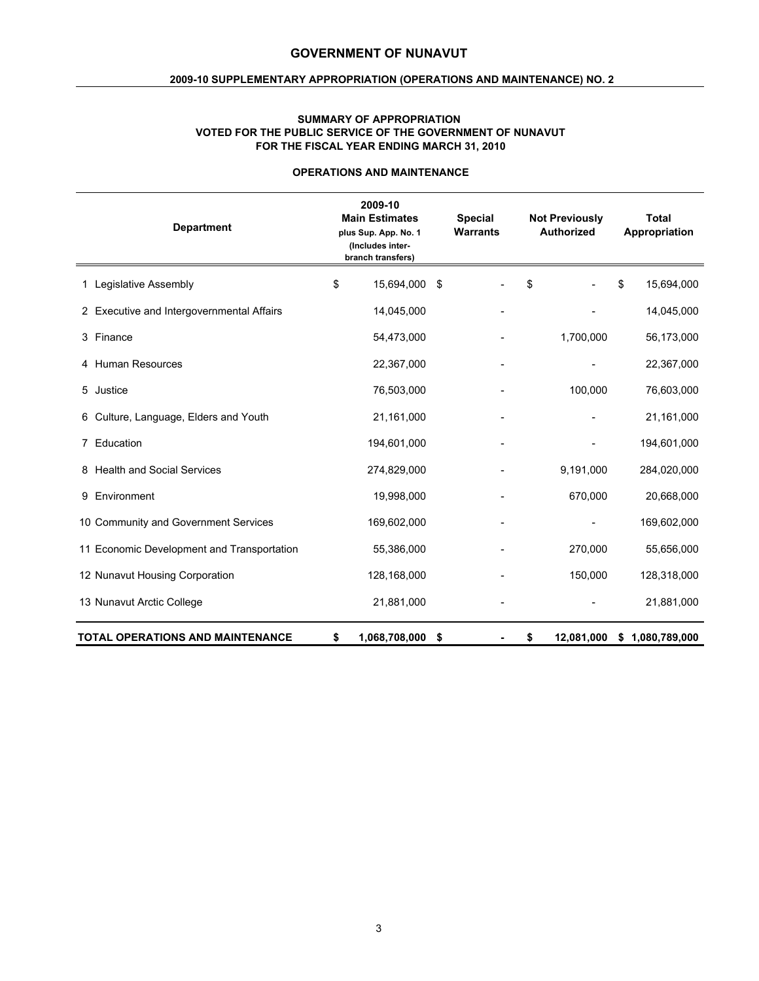## **2009-10 SUPPLEMENTARY APPROPRIATION (OPERATIONS AND MAINTENANCE) NO. 2**

#### **SUMMARY OF APPROPRIATION VOTED FOR THE PUBLIC SERVICE OF THE GOVERNMENT OF NUNAVUT FOR THE FISCAL YEAR ENDING MARCH 31, 2010**

| <b>Department</b>                          | 2009-10<br><b>Main Estimates</b><br>plus Sup. App. No. 1<br>(Includes inter-<br>branch transfers) | <b>Special</b><br><b>Warrants</b> | <b>Not Previously</b><br><b>Authorized</b> | <b>Total</b><br>Appropriation |
|--------------------------------------------|---------------------------------------------------------------------------------------------------|-----------------------------------|--------------------------------------------|-------------------------------|
| 1 Legislative Assembly                     | \$<br>15,694,000                                                                                  | \$                                | \$                                         | 15,694,000<br>\$              |
| 2 Executive and Intergovernmental Affairs  | 14,045,000                                                                                        |                                   |                                            | 14,045,000                    |
| 3 Finance                                  | 54,473,000                                                                                        |                                   | 1,700,000                                  | 56,173,000                    |
| 4 Human Resources                          | 22,367,000                                                                                        |                                   |                                            | 22,367,000                    |
| 5 Justice                                  | 76,503,000                                                                                        |                                   | 100,000                                    | 76,603,000                    |
| Culture, Language, Elders and Youth<br>6.  | 21,161,000                                                                                        |                                   |                                            | 21,161,000                    |
| 7 Education                                | 194,601,000                                                                                       |                                   |                                            | 194,601,000                   |
| 8 Health and Social Services               | 274,829,000                                                                                       |                                   | 9,191,000                                  | 284,020,000                   |
| Environment<br>9                           | 19,998,000                                                                                        |                                   | 670,000                                    | 20,668,000                    |
| 10 Community and Government Services       | 169,602,000                                                                                       |                                   |                                            | 169,602,000                   |
| 11 Economic Development and Transportation | 55,386,000                                                                                        |                                   | 270,000                                    | 55,656,000                    |
| 12 Nunavut Housing Corporation             | 128,168,000                                                                                       |                                   | 150,000                                    | 128,318,000                   |
| 13 Nunavut Arctic College                  | 21,881,000                                                                                        |                                   |                                            | 21,881,000                    |
| <b>TOTAL OPERATIONS AND MAINTENANCE</b>    | \$<br>1,068,708,000                                                                               | \$                                | 12,081,000<br>\$                           | 1,080,789,000<br>\$           |

## **OPERATIONS AND MAINTENANCE**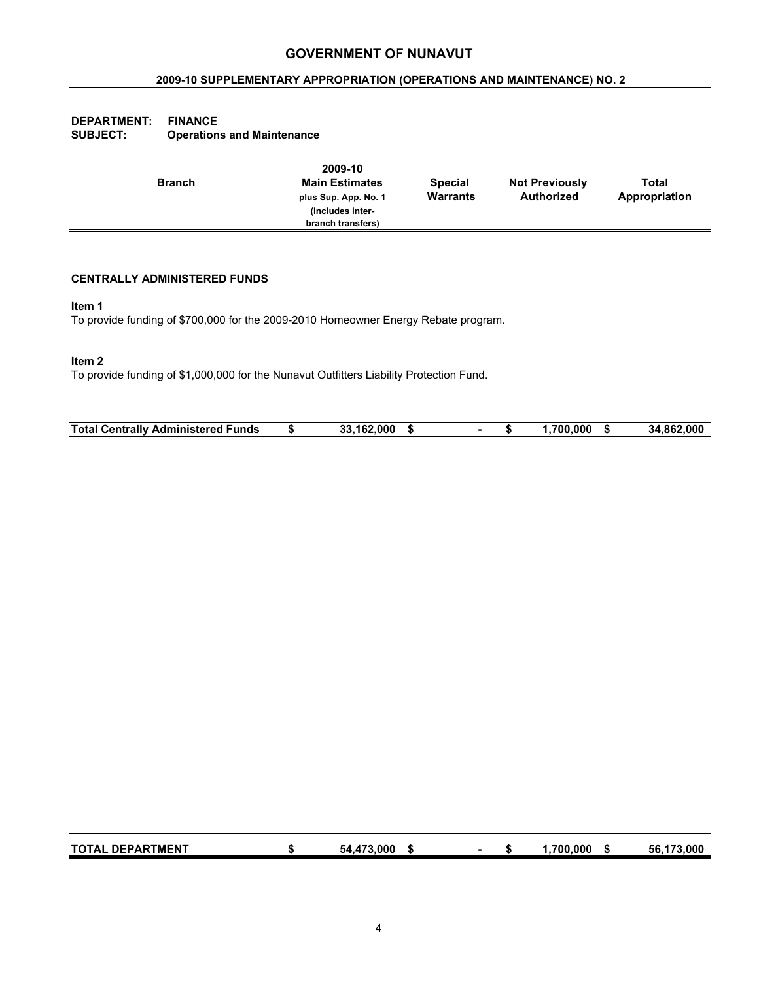## **2009-10 SUPPLEMENTARY APPROPRIATION (OPERATIONS AND MAINTENANCE) NO. 2**

| <b>DEPARTMENT:</b><br><b>SUBJECT:</b> | <b>FINANCE</b><br><b>Operations and Maintenance</b> |                                                                                                   |                                   |                                            |                        |
|---------------------------------------|-----------------------------------------------------|---------------------------------------------------------------------------------------------------|-----------------------------------|--------------------------------------------|------------------------|
|                                       | <b>Branch</b>                                       | 2009-10<br><b>Main Estimates</b><br>plus Sup. App. No. 1<br>(Includes inter-<br>branch transfers) | <b>Special</b><br><b>Warrants</b> | <b>Not Previously</b><br><b>Authorized</b> | Total<br>Appropriation |

## **CENTRALLY ADMINISTERED FUNDS**

#### **Item 1**

To provide funding of \$700,000 for the 2009-2010 Homeowner Energy Rebate program.

## **Item 2**

To provide funding of \$1,000,000 for the Nunavut Outfitters Liability Protection Fund.

| Total<br>unds<br>′ entrallvب ت<br>Administered | .000<br>.<br>. .<br>.<br>. |  | .000<br>700 | .000<br>.862<br>34 |
|------------------------------------------------|----------------------------|--|-------------|--------------------|
|                                                |                            |  |             |                    |

| <b>TOTAL DEPARTMENT</b> | 54.473.000 |  | .700.000 | 56.173.000 |
|-------------------------|------------|--|----------|------------|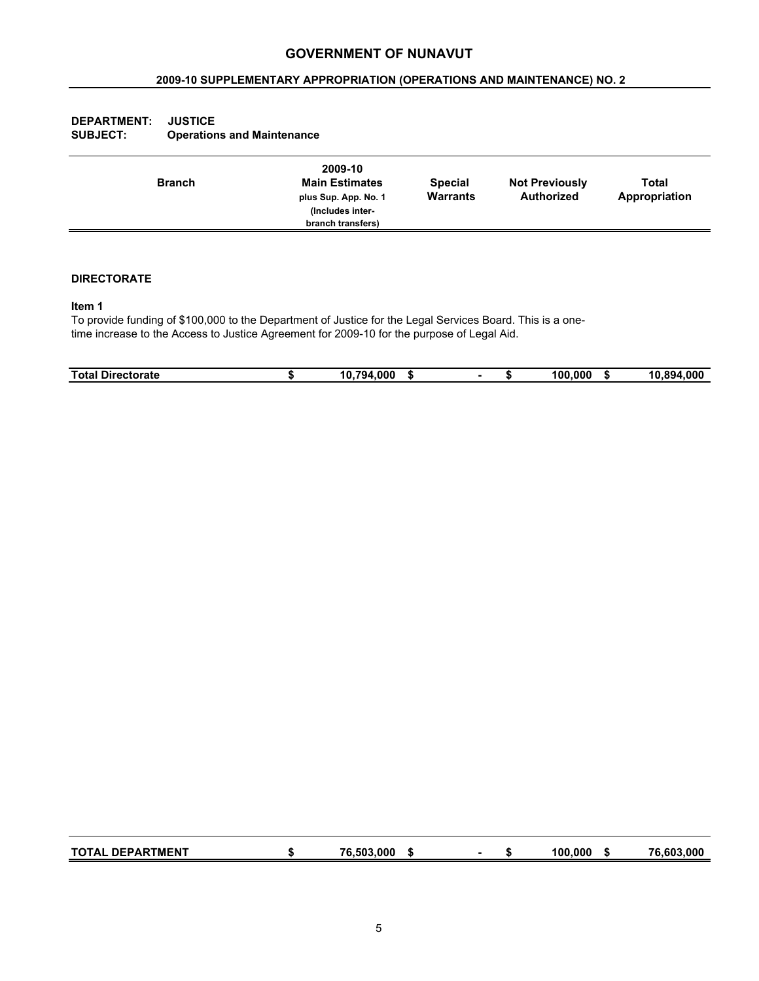## **2009-10 SUPPLEMENTARY APPROPRIATION (OPERATIONS AND MAINTENANCE) NO. 2**

| <b>SUBJECT:</b> | <b>Operations and Maintenance</b> |                                                                                                   |                                   |                                     |                        |
|-----------------|-----------------------------------|---------------------------------------------------------------------------------------------------|-----------------------------------|-------------------------------------|------------------------|
|                 | <b>Branch</b>                     | 2009-10<br><b>Main Estimates</b><br>plus Sup. App. No. 1<br>(Includes inter-<br>branch transfers) | <b>Special</b><br><b>Warrants</b> | <b>Not Previously</b><br>Authorized | Total<br>Appropriation |
|                 |                                   |                                                                                                   |                                   |                                     |                        |

#### **DIRECTORATE**

**DEPARTMENT: JUSTICE**

### **Item 1**

To provide funding of \$100,000 to the Department of Justice for the Legal Services Board. This is a onetime increase to the Access to Justice Agreement for 2009-10 for the purpose of Legal Aid.

| <b>Total</b><br><b>Directorate</b> | .794<br>10<br>.000<br>- 11 |  | 100<br>$\bullet$ $\bullet$<br>.uur<br>- 11 | 894<br>.000<br>10 |
|------------------------------------|----------------------------|--|--------------------------------------------|-------------------|
|                                    |                            |  |                                            |                   |

| <b>TOTAL DEPARTMENT</b> | 76.503.000 |  | 100.000 | 76.603.000 |
|-------------------------|------------|--|---------|------------|
|                         |            |  |         |            |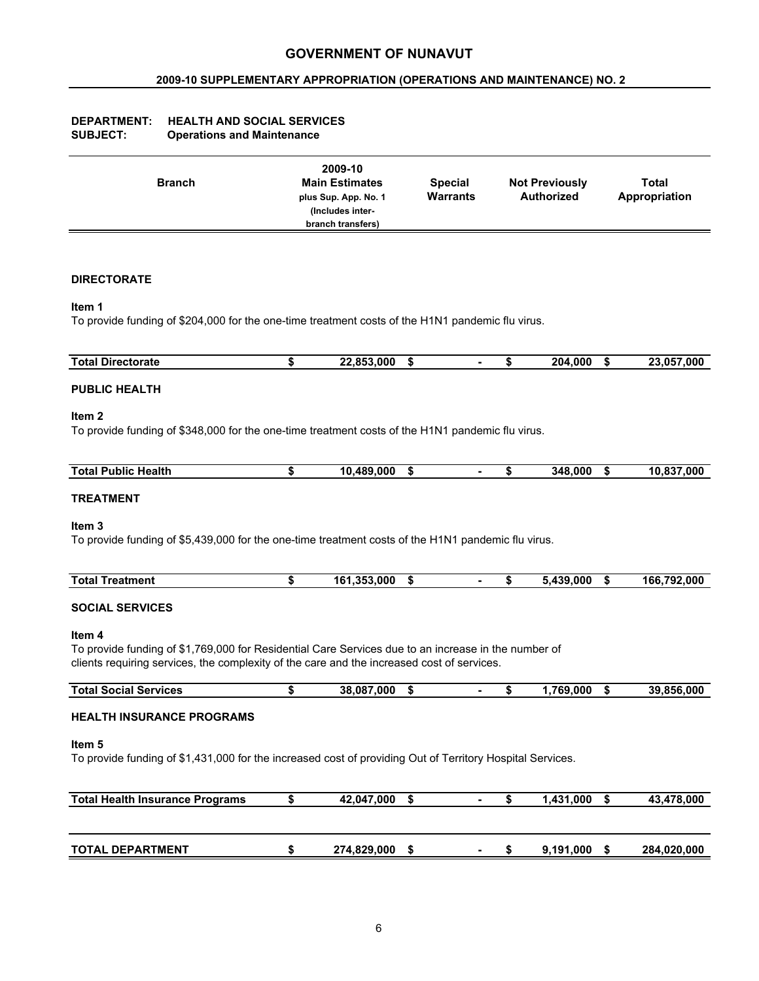## **2009-10 SUPPLEMENTARY APPROPRIATION (OPERATIONS AND MAINTENANCE) NO. 2**

| <b>DEPARTMENT:</b> | <b>HEALTH AND SOCIAL SERVICES</b> |
|--------------------|-----------------------------------|
| <b>SUBJECT:</b>    | <b>Operations and Maintenance</b> |

|  | <b>Branch</b> | 2009-10<br><b>Main Estimates</b><br>plus Sup. App. No. 1<br>(Includes inter-<br>branch transfers) | <b>Special</b><br><b>Warrants</b> | <b>Not Previously</b><br><b>Authorized</b> | Total<br>Appropriation |  |
|--|---------------|---------------------------------------------------------------------------------------------------|-----------------------------------|--------------------------------------------|------------------------|--|
|--|---------------|---------------------------------------------------------------------------------------------------|-----------------------------------|--------------------------------------------|------------------------|--|

## **DIRECTORATE**

#### **Item 1**

To provide funding of \$204,000 for the one-time treatment costs of the H1N1 pandemic flu virus.

| Total <sub>l</sub><br><b>Directorate</b> | .853.000<br>nn<br>- 11 |  | 000ء<br>204. | <b>057</b><br>.000<br>nn.<br>.<br>. |
|------------------------------------------|------------------------|--|--------------|-------------------------------------|
|                                          |                        |  |              |                                     |

## **PUBLIC HEALTH**

#### **Item 2**

To provide funding of \$348,000 for the one-time treatment costs of the H1N1 pandemic flu virus.

| <b>Total</b><br>. .<br>Health<br><b>Public</b> | .489.000<br>10. | -13 |  | 348.000 | -17 | 10.837.000 |
|------------------------------------------------|-----------------|-----|--|---------|-----|------------|
|                                                |                 |     |  |         |     |            |

## **TREATMENT**

#### **Item 3**

To provide funding of \$5,439,000 for the one-time treatment costs of the H1N1 pandemic flu virus.

| Total<br><b>reatment</b> | .353.000<br>1C1<br>- 11 |  | 439.000<br>. A * | 166,792,000 |
|--------------------------|-------------------------|--|------------------|-------------|
|                          |                         |  |                  |             |

## **SOCIAL SERVICES**

#### **Item 4**

To provide funding of \$1,769,000 for Residential Care Services due to an increase in the number of clients requiring services, the complexity of the care and the increased cost of services.

| Tota.<br>Services<br>$\sim$<br>эосы<br>əu | .087.000<br>38 |  | 760<br>.000<br>- 11 | .002<br>.000<br>39<br>. |
|-------------------------------------------|----------------|--|---------------------|-------------------------|
|                                           |                |  |                     |                         |

#### **HEALTH INSURANCE PROGRAMS**

## **Item 5**

To provide funding of \$1,431,000 for the increased cost of providing Out of Territory Hospital Services.

| <b>Total Health Insurance Programs</b> | 42,047,000  |  | 1.431.000 | 43,478,000  |
|----------------------------------------|-------------|--|-----------|-------------|
|                                        |             |  |           |             |
|                                        |             |  |           |             |
| <b>TOTAL DEPARTMENT</b>                | 274,829,000 |  | 9,191,000 | 284,020,000 |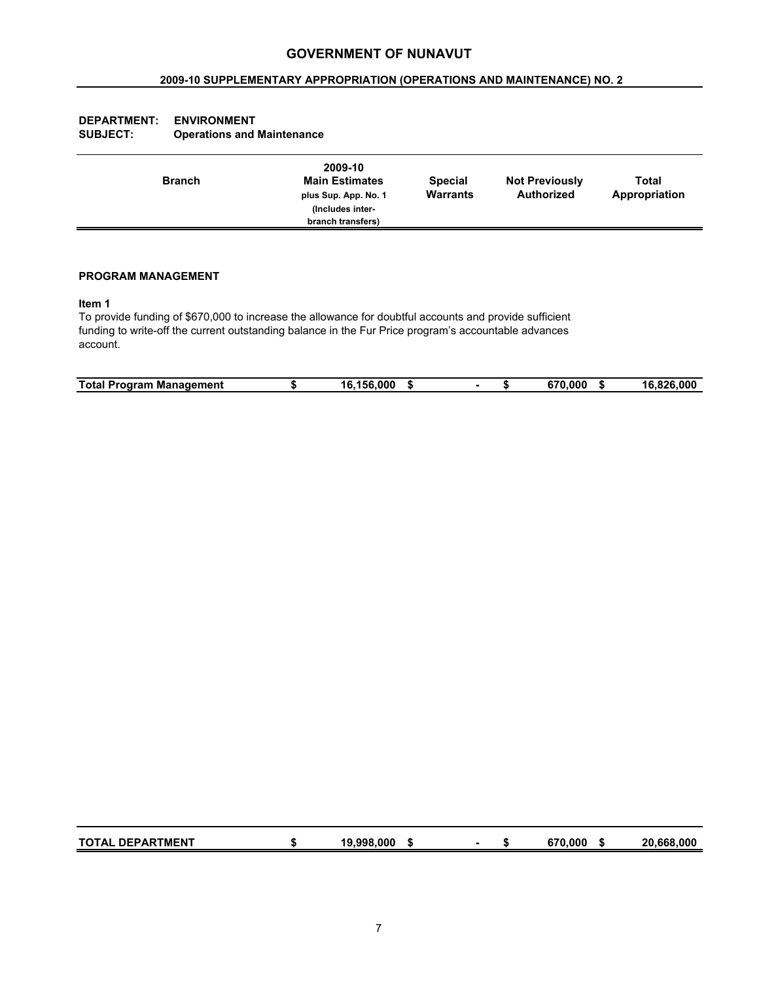## **2009-10 SUPPLEMENTARY APPROPRIATION (OPERATIONS AND MAINTENANCE) NO. 2**

| 2009-10<br><b>Main Estimates</b><br><b>Branch</b><br>plus Sup. App. No. 1<br>(Includes inter-<br>branch transfers) | <b>Special</b><br><b>Warrants</b> | <b>Not Previously</b><br><b>Authorized</b> | <b>Total</b><br>Appropriation |
|--------------------------------------------------------------------------------------------------------------------|-----------------------------------|--------------------------------------------|-------------------------------|
|--------------------------------------------------------------------------------------------------------------------|-----------------------------------|--------------------------------------------|-------------------------------|

## **DEPARTMENT: ENVIRONMENT SUBJECT: Operations and Maintenance**

## **PROGRAM MANAGEMENT**

#### **Item 1**

To provide funding of \$670,000 to increase the allowance for doubtful accounts and provide sufficient funding to write-off the current outstanding balance in the Fur Price program's accountable advances account.

| Total.<br>Management<br>Program<br>- - | $-156$<br>.000<br>16<br>- 11 | <b>C70</b><br>000.،<br>- 11 | .826.000<br>16 |
|----------------------------------------|------------------------------|-----------------------------|----------------|

| <b>TOTAL DEPARTMENT</b> | 19.998.000 | -0 | 670.000 | 20.668.000 |
|-------------------------|------------|----|---------|------------|
|                         |            |    |         |            |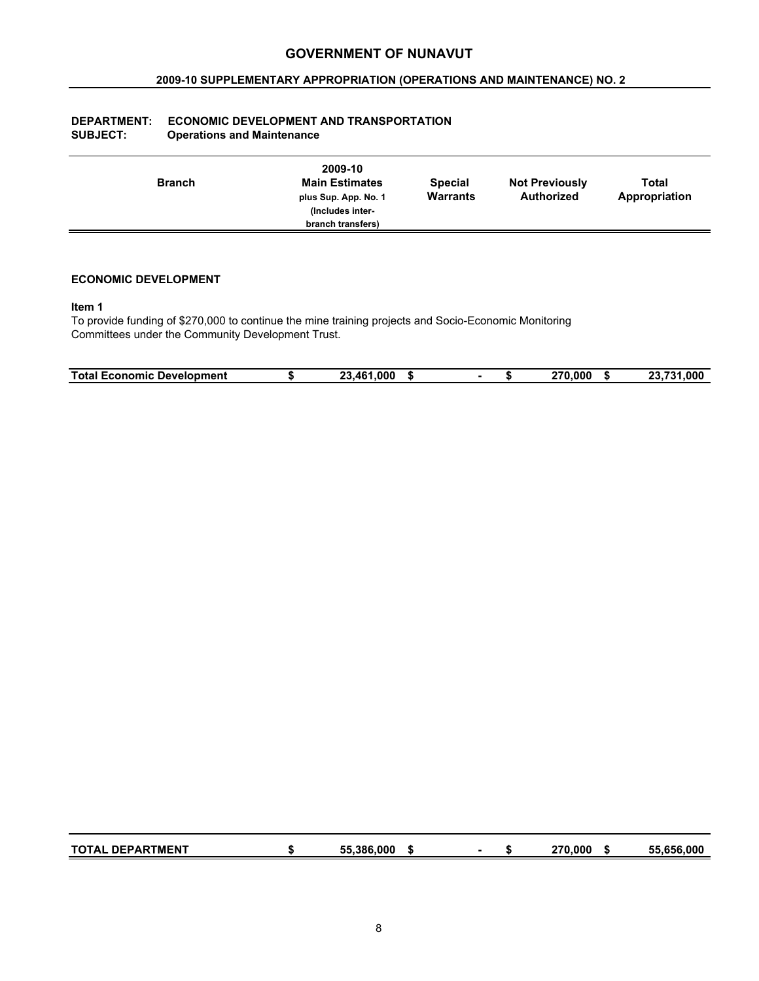## **2009-10 SUPPLEMENTARY APPROPRIATION (OPERATIONS AND MAINTENANCE) NO. 2**

| <b>DEPARTMENT:</b> | <b>ECONOMIC DEVELOPMENT AND TRANSPORTATION</b> |
|--------------------|------------------------------------------------|
| <b>SUBJECT:</b>    | <b>Operations and Maintenance</b>              |

|  | <b>Branch</b> | 2009-10<br><b>Main Estimates</b><br>plus Sup. App. No. 1<br>(Includes inter-<br>branch transfers) | <b>Special</b><br>Warrants | <b>Not Previously</b><br>Authorized | Total<br>Appropriation |
|--|---------------|---------------------------------------------------------------------------------------------------|----------------------------|-------------------------------------|------------------------|
|--|---------------|---------------------------------------------------------------------------------------------------|----------------------------|-------------------------------------|------------------------|

## **ECONOMIC DEVELOPMENT**

#### **Item 1**

To provide funding of \$270,000 to continue the mine training projects and Socio-Economic Monitoring Committees under the Community Development Trust.

| <b>Total Economic</b><br><b>Development</b> | 1.000<br>AA<br>ົ<br>- 11<br>--<br>-. | .000<br>270 | <u>то.</u><br>.000<br>no.<br>--<br>- 11<br>. |
|---------------------------------------------|--------------------------------------|-------------|----------------------------------------------|

| <b>TOTAL DEPARTMENT</b> | 55.386.000 |  | 270.000 | 55,656,000 |
|-------------------------|------------|--|---------|------------|
|                         |            |  |         |            |